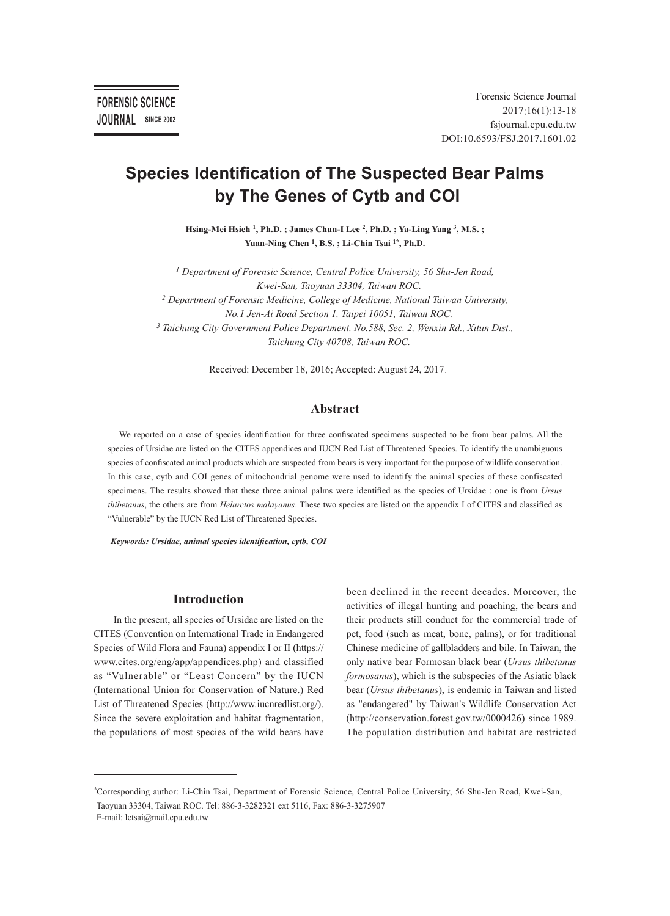# **Species Identification of The Suspected Bear Palms by The Genes of Cytb and COI**

**Hsing-Mei Hsieh 1, Ph.D. ; James Chun-I Lee 2, Ph.D. ; Ya-Ling Yang 3, M.S. ;** Yuan-Ning Chen<sup>1</sup>, B.S.; Li-Chin Tsai<sup>1\*</sup>, Ph.D.

*1 Department of Forensic Science, Central Police University, 56 Shu-Jen Road, Kwei-San, Taoyuan 33304, Taiwan ROC. 2 Department of Forensic Medicine, College of Medicine, National Taiwan University, No.1 Jen-Ai Road Section 1, Taipei 10051, Taiwan ROC. 3 Taichung City Government Police Department, No.588, Sec. 2, Wenxin Rd., Xitun Dist., Taichung City 40708, Taiwan ROC.*

Received: December 18, 2016; Accepted: August 24, 2017.

# **Abstract**

We reported on a case of species identification for three confiscated specimens suspected to be from bear palms. All the species of Ursidae are listed on the CITES appendices and IUCN Red List of Threatened Species. To identify the unambiguous species of confiscated animal products which are suspected from bears is very important for the purpose of wildlife conservation. In this case, cytb and COI genes of mitochondrial genome were used to identify the animal species of these confiscated specimens. The results showed that these three animal palms were identified as the species of Ursidae : one is from *Ursus thibetanus*, the others are from *Helarctos malayanus*. These two species are listed on the appendix I of CITES and classified as "Vulnerable" by the IUCN Red List of Threatened Species.

*Keywords: Ursidae, animal species identification, cytb, COI*

# **Introduction**

In the present, all species of Ursidae are listed on the CITES (Convention on International Trade in Endangered Species of Wild Flora and Fauna) appendix I or II (https:// www.cites.org/eng/app/appendices.php) and classified as "Vulnerable" or "Least Concern" by the IUCN (International Union for Conservation of Nature.) Red List of Threatened Species (http://www.iucnredlist.org/). Since the severe exploitation and habitat fragmentation, the populations of most species of the wild bears have

been declined in the recent decades. Moreover, the activities of illegal hunting and poaching, the bears and their products still conduct for the commercial trade of pet, food (such as meat, bone, palms), or for traditional Chinese medicine of gallbladders and bile. In Taiwan, the only native bear Formosan black bear (*Ursus thibetanus formosanus*), which is the subspecies of the Asiatic black bear (*Ursus thibetanus*), is endemic in Taiwan and listed as "endangered" by Taiwan's Wildlife Conservation Act (http://conservation.forest.gov.tw/0000426) since 1989. The population distribution and habitat are restricted

*<sup>\*</sup>*Corresponding author: Li-Chin Tsai, Department of Forensic Science, Central Police University, 56 Shu-Jen Road, Kwei-San, Taoyuan 33304, Taiwan ROC. Tel: 886-3-3282321 ext 5116, Fax: 886-3-3275907 E-mail: lctsai@mail.cpu.edu.tw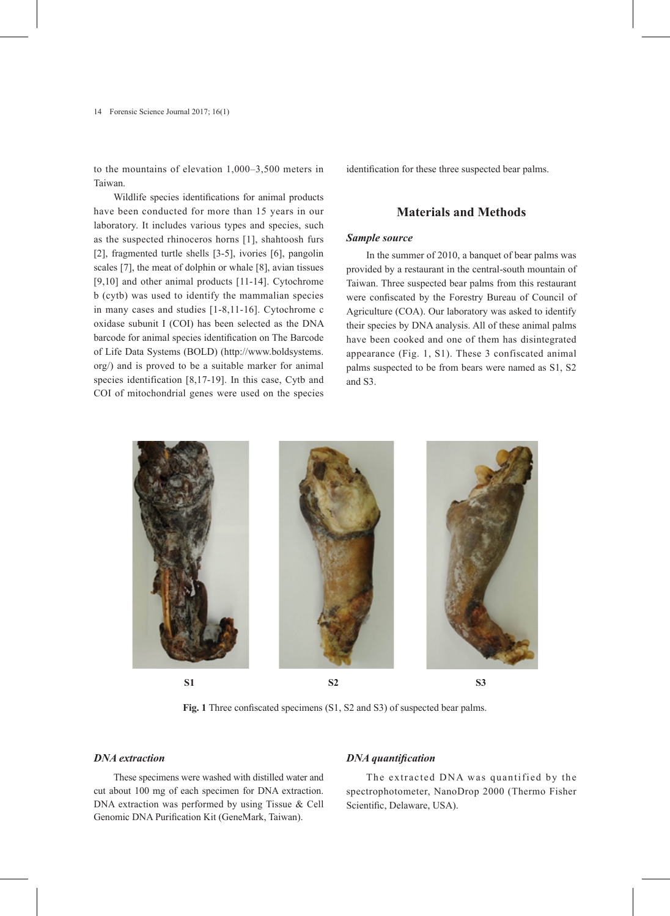14 Forensic Science Journal 2017; 16(1)

to the mountains of elevation 1,000–3,500 meters in Taiwan.

Wildlife species identifications for animal products have been conducted for more than 15 years in our laboratory. It includes various types and species, such as the suspected rhinoceros horns [1], shahtoosh furs [2], fragmented turtle shells [3-5], ivories [6], pangolin scales [7], the meat of dolphin or whale [8], avian tissues [9,10] and other animal products [11-14]. Cytochrome b (cytb) was used to identify the mammalian species in many cases and studies [1-8,11-16]. Cytochrome c oxidase subunit I (COI) has been selected as the DNA barcode for animal species identification on The Barcode of Life Data Systems (BOLD) (http://www.boldsystems. org/) and is proved to be a suitable marker for animal species identification [8,17-19]. In this case, Cytb and COI of mitochondrial genes were used on the species

identification for these three suspected bear palms.

# **Materials and Methods**

## *Sample source*

In the summer of 2010, a banquet of bear palms was provided by a restaurant in the central-south mountain of Taiwan. Three suspected bear palms from this restaurant were confiscated by the Forestry Bureau of Council of Agriculture (COA). Our laboratory was asked to identify their species by DNA analysis. All of these animal palms have been cooked and one of them has disintegrated appearance (Fig. 1, S1). These 3 confiscated animal palms suspected to be from bears were named as S1, S2 and S3.



**Fig. 1** Three confiscated specimens (S1, S2 and S3) of suspected bear palms.

## *DNA extraction*

These specimens were washed with distilled water and cut about 100 mg of each specimen for DNA extraction. DNA extraction was performed by using Tissue & Cell Genomic DNA Purification Kit (GeneMark, Taiwan).

## *DNA quantification*

The extracted DNA was quantified by the spectrophotometer, NanoDrop 2000 (Thermo Fisher Scientific, Delaware, USA).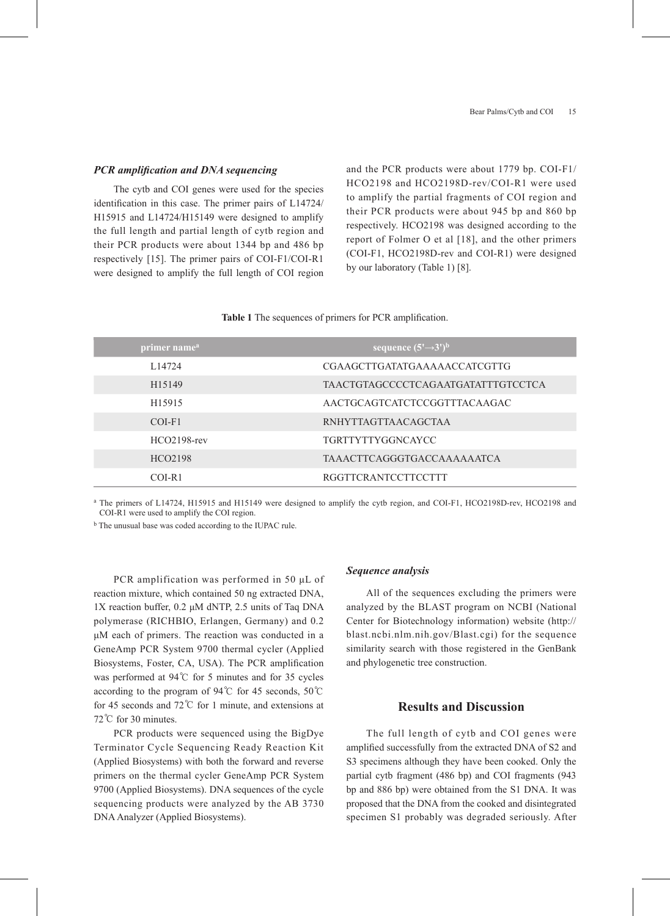#### *PCR amplification and DNA sequencing*

The cytb and COI genes were used for the species identification in this case. The primer pairs of L14724/ H15915 and L14724/H15149 were designed to amplify the full length and partial length of cytb region and their PCR products were about 1344 bp and 486 bp respectively [15]. The primer pairs of COI-F1/COI-R1 were designed to amplify the full length of COI region and the PCR products were about 1779 bp. COI-F1/ HCO2198 and HCO2198D-rev/COI-R1 were used to amplify the partial fragments of COI region and their PCR products were about 945 bp and 860 bp respectively. HCO2198 was designed according to the report of Folmer O et al [18], and the other primers (COI-F1, HCO2198D-rev and COI-R1) were designed by our laboratory (Table 1) [8].

#### **Table 1** The sequences of primers for PCR amplification.

| primer name <sup>a</sup> | sequence $(5' \rightarrow 3')^b$   |
|--------------------------|------------------------------------|
| L <sub>14724</sub>       | CGAAGCTTGATATGAAAAACCATCGTTG       |
| H <sub>15149</sub>       | TAACTGTAGCCCCTCAGAATGATATTTGTCCTCA |
| H <sub>15915</sub>       | AACTGCAGTCATCTCCGGTTTACAAGAC       |
| COI-F1                   | <b>RNHYTTAGTTAACAGCTAA</b>         |
| $HCO2198$ -rev           | <b>TGRTTYTTYGGNCAYCC</b>           |
| HCO2198                  | <b>TAAACTTCAGGGTGACCAAAAAATCA</b>  |
| COI-R1                   | <b>RGGTTCRANTCCTTCCTTT</b>         |

<sup>a</sup> The primers of L14724, H15915 and H15149 were designed to amplify the cytb region, and COI-F1, HCO2198D-rev, HCO2198 and COI-R1 were used to amplify the COI region.

<sup>b</sup> The unusual base was coded according to the IUPAC rule.

PCR amplification was performed in 50 μL of reaction mixture, which contained 50 ng extracted DNA, 1X reaction buffer, 0.2 μM dNTP, 2.5 units of Taq DNA polymerase (RICHBIO, Erlangen, Germany) and 0.2 μM each of primers. The reaction was conducted in a GeneAmp PCR System 9700 thermal cycler (Applied Biosystems, Foster, CA, USA). The PCR amplification was performed at 94℃ for 5 minutes and for 35 cycles according to the program of 94℃ for 45 seconds, 50℃ for 45 seconds and 72℃ for 1 minute, and extensions at 72℃ for 30 minutes.

PCR products were sequenced using the BigDye Terminator Cycle Sequencing Ready Reaction Kit (Applied Biosystems) with both the forward and reverse primers on the thermal cycler GeneAmp PCR System 9700 (Applied Biosystems). DNA sequences of the cycle sequencing products were analyzed by the AB 3730 DNA Analyzer (Applied Biosystems).

#### *Sequence analysis*

All of the sequences excluding the primers were analyzed by the BLAST program on NCBI (National Center for Biotechnology information) website (http:// blast.ncbi.nlm.nih.gov/Blast.cgi) for the sequence similarity search with those registered in the GenBank and phylogenetic tree construction.

## **Results and Discussion**

The full length of cytb and COI genes were amplified successfully from the extracted DNA of S2 and S3 specimens although they have been cooked. Only the partial cytb fragment (486 bp) and COI fragments (943 bp and 886 bp) were obtained from the S1 DNA. It was proposed that the DNA from the cooked and disintegrated specimen S1 probably was degraded seriously. After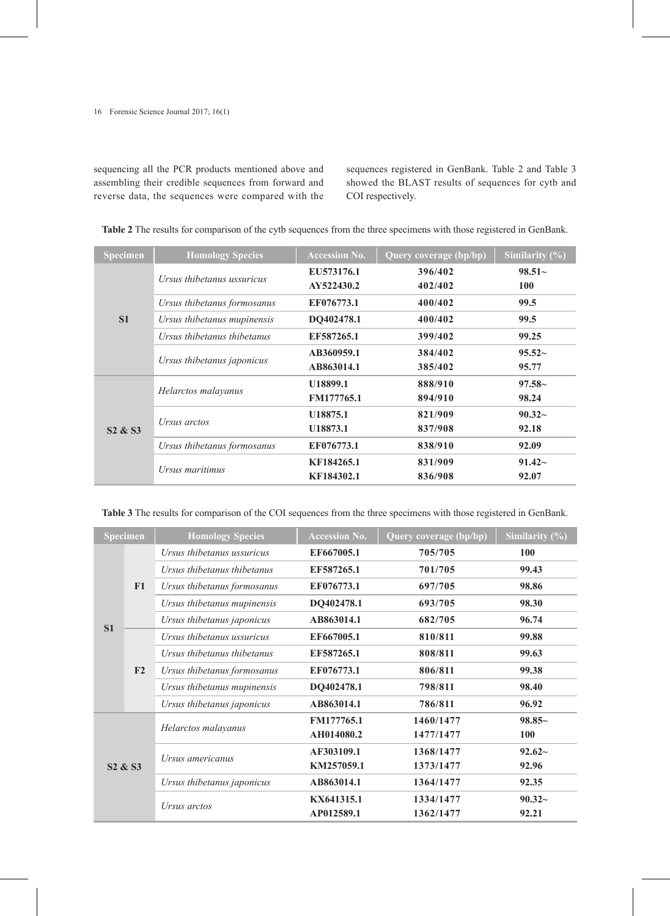sequencing all the PCR products mentioned above and assembling their credible sequences from forward and reverse data, the sequences were compared with the

sequences registered in GenBank. Table 2 and Table 3 showed the BLAST results of sequences for cytb and COI respectively.

| Specimen                        | <b>Homology Species</b>     | <b>Accession No.</b> | Query coverage (bp/bp) | Similarity $(\% )$ |
|---------------------------------|-----------------------------|----------------------|------------------------|--------------------|
| S <sub>1</sub>                  | Ursus thibetanus ussuricus  | EU573176.1           | 396/402                | $98.51-$           |
|                                 |                             | AY522430.2           | 402/402                | <b>100</b>         |
|                                 | Ursus thibetanus formosanus | EF076773.1           | 400/402                | 99.5               |
|                                 | Ursus thibetanus mupinensis | DQ402478.1           | 400/402                | 99.5               |
|                                 | Ursus thibetanus thibetanus | EF587265.1           | 399/402                | 99.25              |
|                                 | Ursus thibetanus japonicus  | AB360959.1           | 384/402                | $95.52-$           |
|                                 |                             | AB863014.1           | 385/402                | 95.77              |
| S <sub>2</sub> & S <sub>3</sub> | Helarctos malayanus         | U18899.1             | 888/910                | $97.58-$           |
|                                 |                             | <b>FM177765.1</b>    | 894/910                | 98.24              |
|                                 | Ursus arctos                | U <sub>18875.1</sub> | 821/909                | $90.32 -$          |
|                                 |                             | U18873.1             | 837/908                | 92.18              |
|                                 | Ursus thibetanus formosanus | EF076773.1           | 838/910                | 92.09              |
|                                 | Ursus maritimus             | KF184265.1           | 831/909                | $91.42-$           |
|                                 |                             | KF184302.1           | 836/908                | 92.07              |

**Table 2** The results for comparison of the cytb sequences from the three specimens with those registered in GenBank.

**Table 3** The results for comparison of the COI sequences from the three specimens with those registered in GenBank.

| <b>Specimen</b>                 |                            | <b>Homology Species</b>     | <b>Accession No.</b> | Query coverage (bp/bp) | Similarity $(\% )$ |
|---------------------------------|----------------------------|-----------------------------|----------------------|------------------------|--------------------|
| S <sub>1</sub>                  | F1                         | Ursus thibetanus ussuricus  | EF667005.1           | 705/705                | 100                |
|                                 |                            | Ursus thibetanus thibetanus | EF587265.1           | 701/705                | 99.43              |
|                                 |                            | Ursus thibetanus formosanus | EF076773.1           | 697/705                | 98.86              |
|                                 |                            | Ursus thibetanus mupinensis | DQ402478.1           | 693/705                | 98.30              |
|                                 |                            | Ursus thibetanus japonicus  | AB863014.1           | 682/705                | 96.74              |
|                                 | F2                         | Ursus thibetanus ussuricus  | EF667005.1           | 810/811                | 99.88              |
|                                 |                            | Ursus thibetanus thibetanus | EF587265.1           | 808/811                | 99.63              |
|                                 |                            | Ursus thibetanus formosanus | EF076773.1           | 806/811                | 99.38              |
|                                 |                            | Ursus thibetanus mupinensis | DQ402478.1           | 798/811                | 98.40              |
|                                 |                            | Ursus thibetanus japonicus  | AB863014.1           | 786/811                | 96.92              |
|                                 |                            | Helarctos malayanus         | FM177765.1           | 1460/1477              | $98.85-$           |
|                                 |                            |                             | AH014080.2           | 1477/1477              | <b>100</b>         |
| S <sub>2</sub> & S <sub>3</sub> | Ursus americanus           | AF303109.1                  | 1368/1477            | $92.62-$               |                    |
|                                 |                            | KM257059.1                  | 1373/1477            | 92.96                  |                    |
|                                 | Ursus thibetanus japonicus | AB863014.1                  | 1364/1477            | 92.35                  |                    |
|                                 | Ursus arctos               | KX641315.1                  | 1334/1477            | $90.32-$               |                    |
|                                 |                            | AP012589.1                  | 1362/1477            | 92.21                  |                    |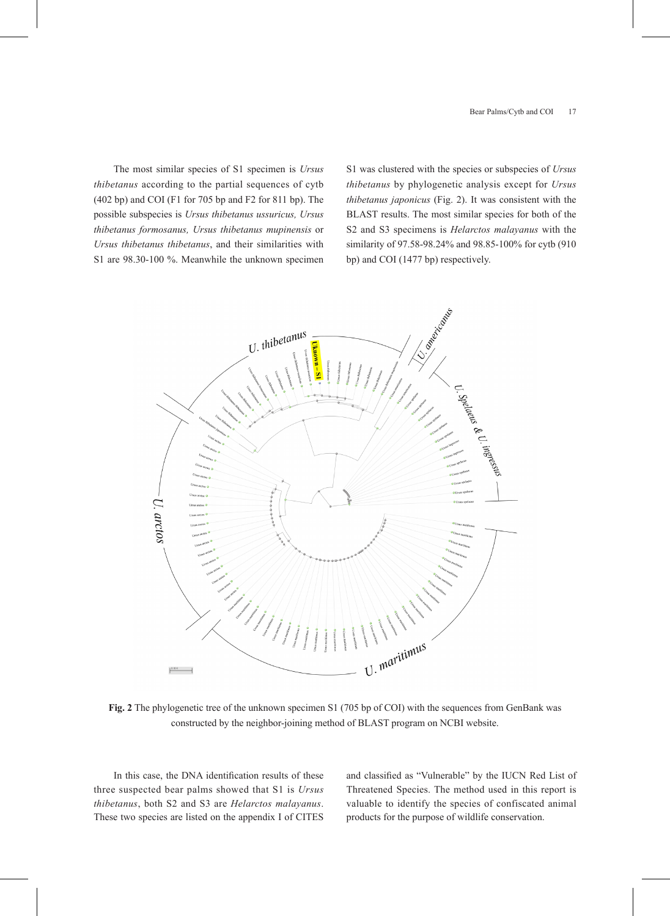The most similar species of S1 specimen is *Ursus thibetanus* according to the partial sequences of cytb (402 bp) and COI (F1 for 705 bp and F2 for 811 bp). The possible subspecies is *Ursus thibetanus ussuricus, Ursus thibetanus formosanus, Ursus thibetanus mupinensis* or *Ursus thibetanus thibetanus*, and their similarities with S1 are 98.30-100 %. Meanwhile the unknown specimen S1 was clustered with the species or subspecies of *Ursus thibetanus* by phylogenetic analysis except for *Ursus thibetanus japonicus* (Fig. 2). It was consistent with the BLAST results. The most similar species for both of the S2 and S3 specimens is *Helarctos malayanus* with the similarity of 97.58-98.24% and 98.85-100% for cytb (910 bp) and COI (1477 bp) respectively.



**Fig. 2** The phylogenetic tree of the unknown specimen S1 (705 bp of COI) with the sequences from GenBank was constructed by the neighbor-joining method of BLAST program on NCBI website.

In this case, the DNA identification results of these three suspected bear palms showed that S1 is *Ursus thibetanus*, both S2 and S3 are *Helarctos malayanus*. These two species are listed on the appendix I of CITES and classified as "Vulnerable" by the IUCN Red List of Threatened Species. The method used in this report is valuable to identify the species of confiscated animal products for the purpose of wildlife conservation.